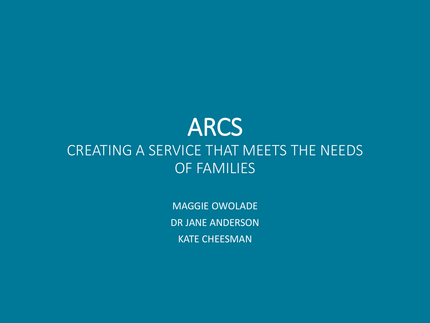### ARCS CREATING A SERVICE THAT MEETS THE NEEDS OF FAMILIES

MAGGIE OWOLADE DR JANE ANDERSON KATE CHEESMAN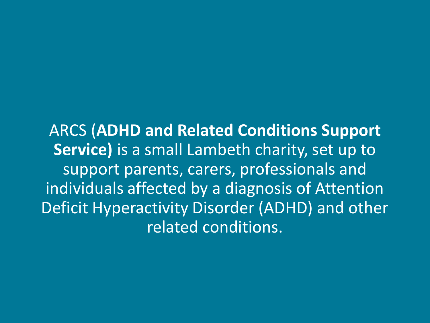ARCS (**ADHD and Related Conditions Support Service)** is a small Lambeth charity, set up to support parents, carers, professionals and individuals affected by a diagnosis of Attention Deficit Hyperactivity Disorder (ADHD) and other related conditions.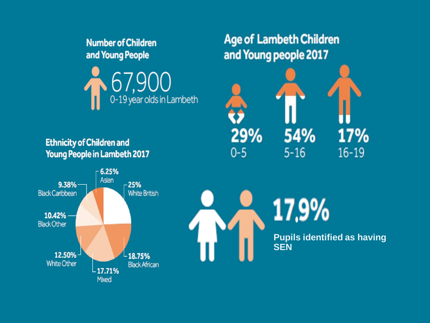

**Number of Children** 

## **Age of Lambeth Children** and Young people 2017

#### **Ethnicity of Children and Young People in Lambeth 2017**



17,9% **Pupils identified as having SEN** 

54%

 $5 - 16$ 

29%

 $0 - 5$ 

17%

 $16 - 19$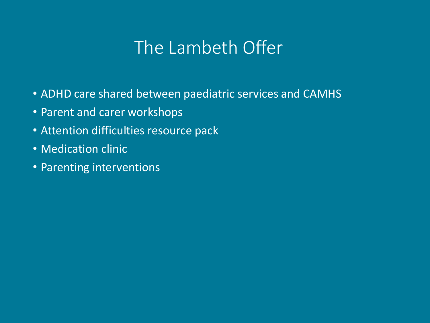### The Lambeth Offer

- ADHD care shared between paediatric services and CAMHS
- Parent and carer workshops
- Attention difficulties resource pack
- Medication clinic
- Parenting interventions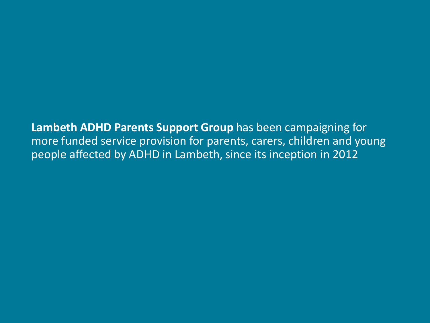**Lambeth ADHD Parents Support Group** has been campaigning for more funded service provision for parents, carers, children and young people affected by ADHD in Lambeth, since its inception in 2012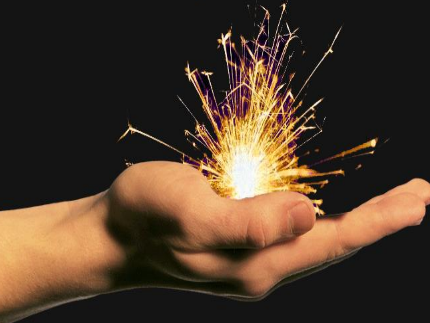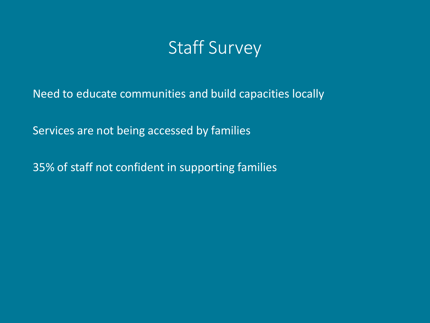### Staff Survey

Need to educate communities and build capacities locally

Services are not being accessed by families

35% of staff not confident in supporting families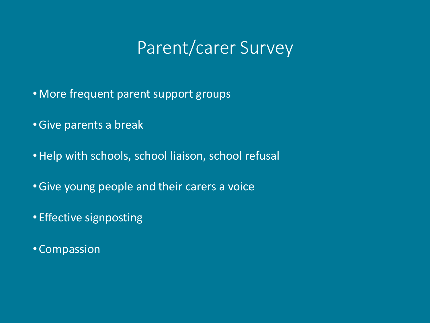### Parent/carer Survey

- •More frequent parent support groups
- •Give parents a break
- •Help with schools, school liaison, school refusal
- •Give young people and their carers a voice
- Effective signposting
- •Compassion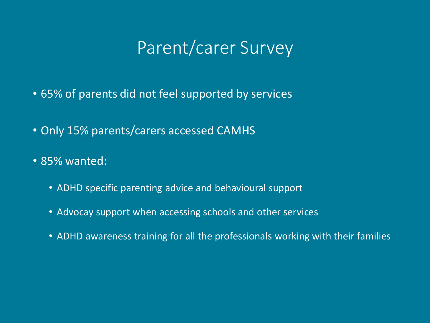### Parent/carer Survey

- 65% of parents did not feel supported by services
- Only 15% parents/carers accessed CAMHS
- 85% wanted:
	- ADHD specific parenting advice and behavioural support
	- Advocay support when accessing schools and other services
	- ADHD awareness training for all the professionals working with their families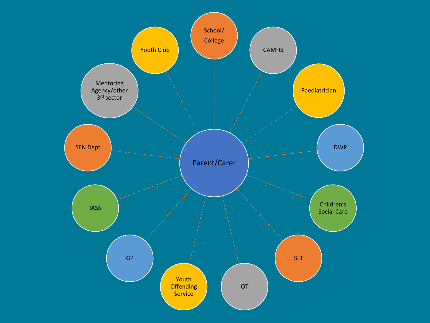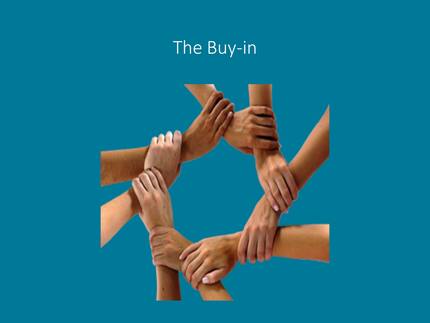### The Buy-in

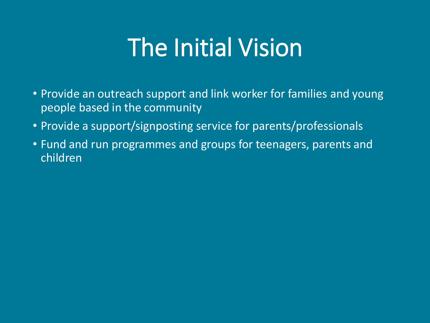### The Initial Vision

- Provide an outreach support and link worker for families and young people based in the community
- Provide a support/signposting service for parents/professionals
- Fund and run programmes and groups for teenagers, parents and children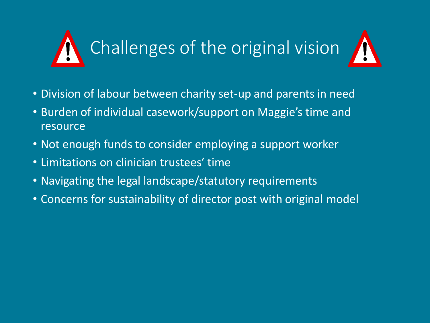# Challenges of the original vision

- Division of labour between charity set-up and parents in need
- Burden of individual casework/support on Maggie's time and resource
- Not enough funds to consider employing a support worker
- Limitations on clinician trustees' time
- Navigating the legal landscape/statutory requirements
- Concerns for sustainability of director post with original model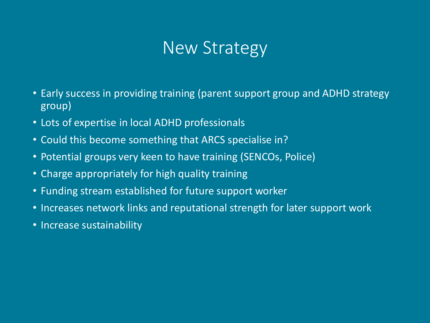### New Strategy

- Early success in providing training (parent support group and ADHD strategy group)
- Lots of expertise in local ADHD professionals
- Could this become something that ARCS specialise in?
- Potential groups very keen to have training (SENCOs, Police)
- Charge appropriately for high quality training
- Funding stream established for future support worker
- Increases network links and reputational strength for later support work
- Increase sustainability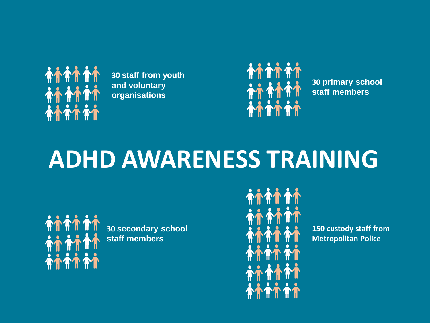

**30 staff from youth and voluntary organisations** 



**30 primary school staff members** 

### **ADHD AWARENESS TRAINING**



**30 secondary school staff members** 



**150 custody staff from Metropolitan Police**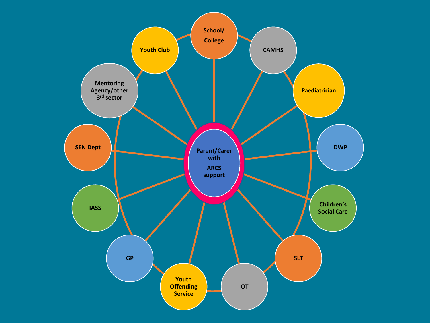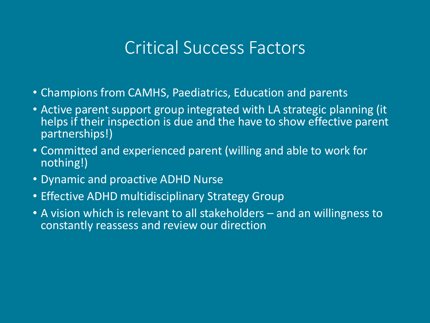#### Critical Success Factors

- Champions from CAMHS, Paediatrics, Education and parents
- Active parent support group integrated with LA strategic planning (it helps if their inspection is due and the have to show effective parent partnerships!)
- Committed and experienced parent (willing and able to work for nothing!)
- Dynamic and proactive ADHD Nurse
- Effective ADHD multidisciplinary Strategy Group
- A vision which is relevant to all stakeholders and an willingness to constantly reassess and review our direction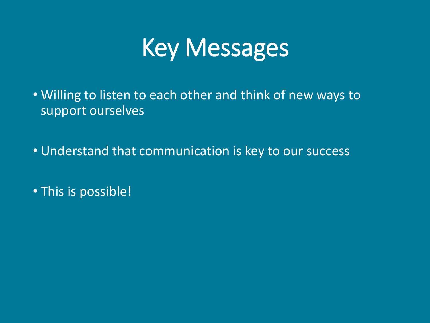### Key Messages

- Willing to listen to each other and think of new ways to support ourselves
- Understand that communication is key to our success
- This is possible!